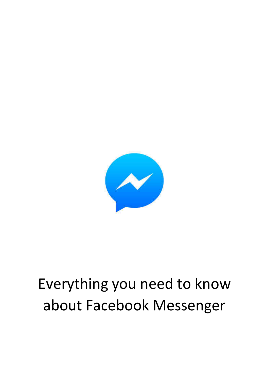

# Everything you need to know about Facebook Messenger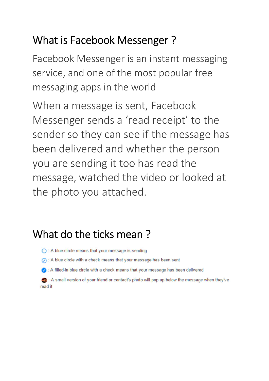# What is Facebook Messenger ?

Facebook Messenger is an instant messaging service, and one of the most popular free messaging apps in the world

When a message is sent, Facebook Messenger sends a 'read receipt' to the sender so they can see if the message has been delivered and whether the person you are sending it too has read the message, watched the video or looked at the photo you attached.

### What do the ticks mean ?

- ◯ : A blue circle means that your message is sending
- A blue circle with a check means that your message has been sent
- A filled-in blue circle with a check means that your message has been delivered

A small version of your friend or contact's photo will pop up below the message when they've read it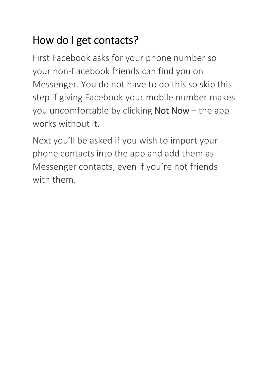# How do I get contacts?

First Facebook asks for your phone number so your non-Facebook friends can find you on Messenger. You do not have to do this so skip this step if giving Facebook your mobile number makes you uncomfortable by clicking Not Now – the app works without it.

Next you'll be asked if you wish to import your phone contacts into the app and add them as Messenger contacts, even if you're not friends with them.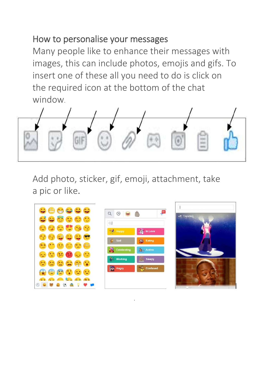#### How to personalise your messages

Many people like to enhance their messages with images, this can include photos, emojis and gifs. To insert one of these all you need to do is click on the required icon at the bottom of the chat window.



Add photo, sticker, gif, emoji, attachment, take a pic or like.



.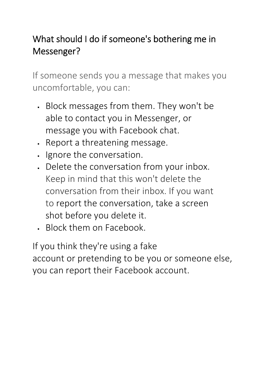### What should I do if someone's bothering me in Messenger?

If someone sends you a message that makes you uncomfortable, you can:

- Block messages from them. They won't be able to contact you in Messenger, or message you with Facebook chat.
- . Report a threatening message.
- Ignore the conversation.
- Delete the conversation from your inbox. Keep in mind that this won't delete the conversation from their inbox. If you want to report the conversation, take a screen shot before you delete it.
- Block them on Facebook.

If you think they're using a fake account or pretending to be you or someone else, you can report their Facebook account.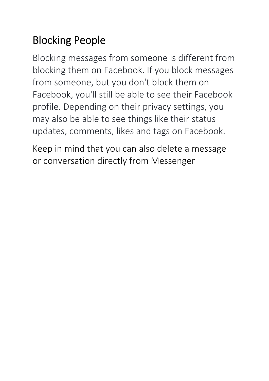# Blocking People

Blocking messages from someone is different from blocking them on Facebook. If you block messages from someone, but you don't block them on Facebook, you'll still be able to see their Facebook profile. Depending on their privacy settings, you may also be able to see things like their status updates, comments, likes and tags on Facebook.

Keep in mind that you can also delete a message or conversation directly from Messenger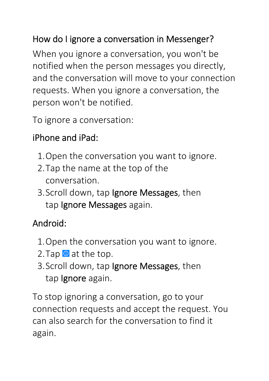### How do I ignore a conversation in Messenger?

When you ignore a conversation, you won't be notified when the person messages you directly, and the conversation will move to your connection requests. When you ignore a conversation, the person won't be notified.

To ignore a conversation:

### iPhone and iPad:

- 1.Open the conversation you want to ignore.
- 2.Tap the name at the top of the conversation.
- 3.Scroll down, tap Ignore Messages, then tap Ignore Messages again.

### Android:

- 1.Open the conversation you want to ignore.
- 2. Tap  $\odot$  at the top.
- 3.Scroll down, tap Ignore Messages, then tap Ignore again.

To stop ignoring a conversation, go to your connection requests and accept the request. You can also search for the conversation to find it again.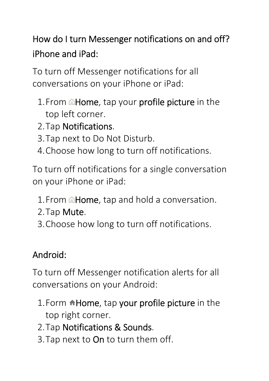How do I turn Messenger notifications on and off? iPhone and iPad:

To turn off Messenger notifications for all conversations on your iPhone or iPad:

- 1. From **AHome**, tap your profile picture in the top left corner.
- 2.Tap Notifications.
- 3.Tap next to Do Not Disturb.
- 4.Choose how long to turn off notifications.

To turn off notifications for a single conversation on your iPhone or iPad:

- 1. From **Allome**, tap and hold a conversation.
- 2.Tap Mute.
- 3.Choose how long to turn off notifications.

### Android:

To turn off Messenger notification alerts for all conversations on your Android:

- 1. Form **Home**, tap your profile picture in the top right corner.
- 2.Tap Notifications & Sounds.
- 3.Tap next to On to turn them off.